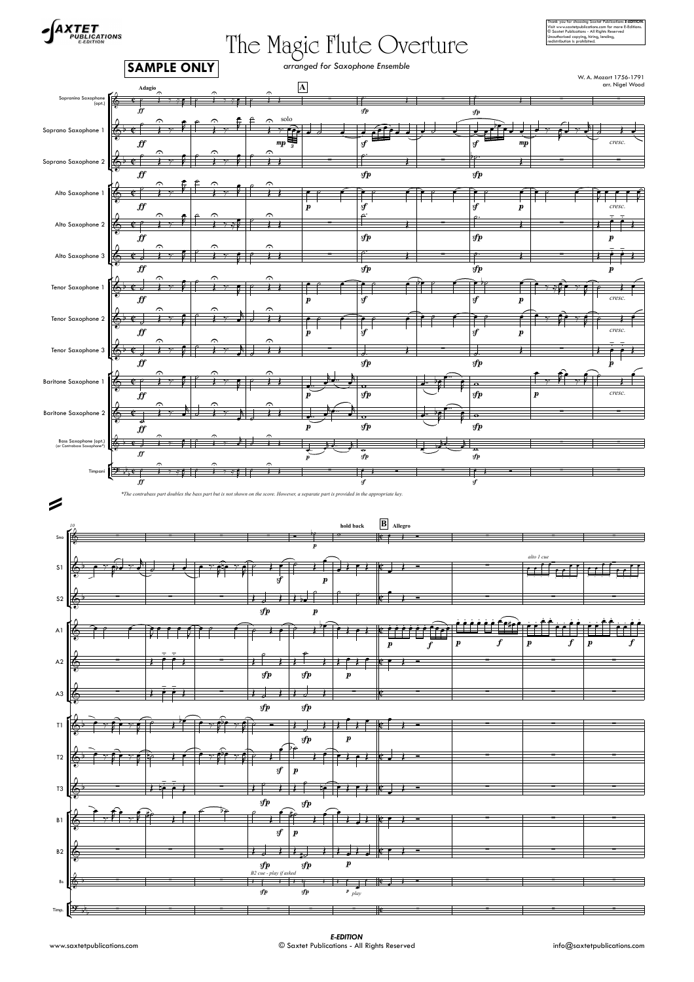